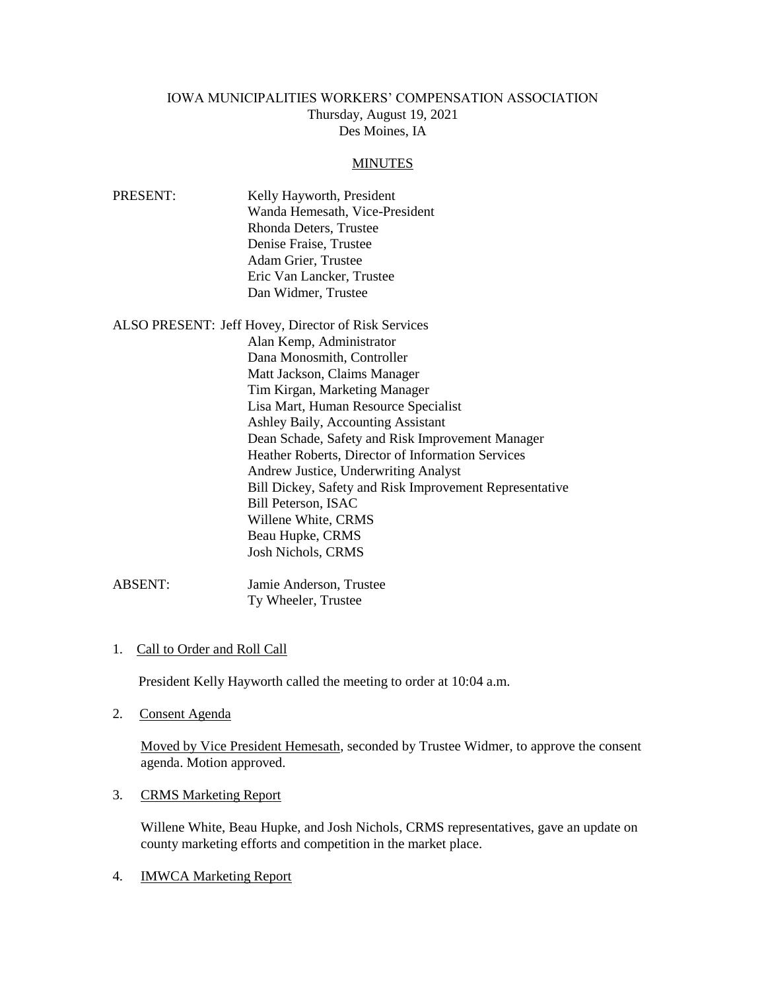# IOWA MUNICIPALITIES WORKERS' COMPENSATION ASSOCIATION Thursday, August 19, 2021 Des Moines, IA

#### **MINUTES**

| PRESENT: | Kelly Hayworth, President      |
|----------|--------------------------------|
|          | Wanda Hemesath, Vice-President |
|          | Rhonda Deters, Trustee         |
|          | Denise Fraise, Trustee         |
|          | Adam Grier, Trustee            |
|          | Eric Van Lancker, Trustee      |
|          | Dan Widmer, Trustee            |
|          |                                |

| ALSO PRESENT: Jeff Hovey, Director of Risk Services |                                                         |
|-----------------------------------------------------|---------------------------------------------------------|
|                                                     | Alan Kemp, Administrator                                |
|                                                     | Dana Monosmith, Controller                              |
|                                                     | Matt Jackson, Claims Manager                            |
|                                                     | Tim Kirgan, Marketing Manager                           |
|                                                     | Lisa Mart, Human Resource Specialist                    |
|                                                     | Ashley Baily, Accounting Assistant                      |
|                                                     | Dean Schade, Safety and Risk Improvement Manager        |
|                                                     | Heather Roberts, Director of Information Services       |
|                                                     | Andrew Justice, Underwriting Analyst                    |
|                                                     | Bill Dickey, Safety and Risk Improvement Representative |
|                                                     | Bill Peterson, ISAC                                     |
|                                                     | Willene White, CRMS                                     |
|                                                     | Beau Hupke, CRMS                                        |
|                                                     | <b>Josh Nichols, CRMS</b>                               |
|                                                     |                                                         |

ABSENT: Jamie Anderson, Trustee Ty Wheeler, Trustee

1. Call to Order and Roll Call

President Kelly Hayworth called the meeting to order at 10:04 a.m.

2. Consent Agenda

Moved by Vice President Hemesath, seconded by Trustee Widmer, to approve the consent agenda. Motion approved.

3. CRMS Marketing Report

Willene White, Beau Hupke, and Josh Nichols, CRMS representatives, gave an update on county marketing efforts and competition in the market place.

4. IMWCA Marketing Report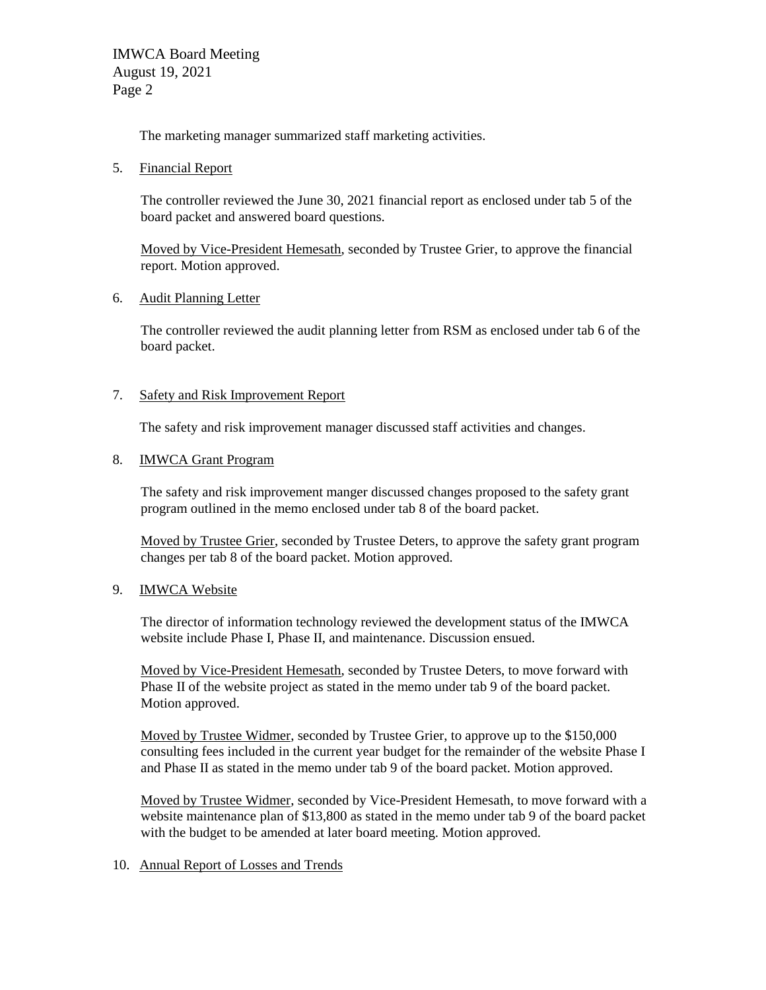IMWCA Board Meeting August 19, 2021 Page 2

The marketing manager summarized staff marketing activities.

5. Financial Report

The controller reviewed the June 30, 2021 financial report as enclosed under tab 5 of the board packet and answered board questions.

Moved by Vice-President Hemesath, seconded by Trustee Grier, to approve the financial report. Motion approved.

## 6. Audit Planning Letter

The controller reviewed the audit planning letter from RSM as enclosed under tab 6 of the board packet.

## 7. Safety and Risk Improvement Report

The safety and risk improvement manager discussed staff activities and changes.

### 8. IMWCA Grant Program

The safety and risk improvement manger discussed changes proposed to the safety grant program outlined in the memo enclosed under tab 8 of the board packet.

Moved by Trustee Grier, seconded by Trustee Deters, to approve the safety grant program changes per tab 8 of the board packet. Motion approved.

#### 9. IMWCA Website

The director of information technology reviewed the development status of the IMWCA website include Phase I, Phase II, and maintenance. Discussion ensued.

Moved by Vice-President Hemesath, seconded by Trustee Deters, to move forward with Phase II of the website project as stated in the memo under tab 9 of the board packet. Motion approved.

Moved by Trustee Widmer, seconded by Trustee Grier, to approve up to the \$150,000 consulting fees included in the current year budget for the remainder of the website Phase I and Phase II as stated in the memo under tab 9 of the board packet. Motion approved.

Moved by Trustee Widmer, seconded by Vice-President Hemesath, to move forward with a website maintenance plan of \$13,800 as stated in the memo under tab 9 of the board packet with the budget to be amended at later board meeting. Motion approved.

## 10. Annual Report of Losses and Trends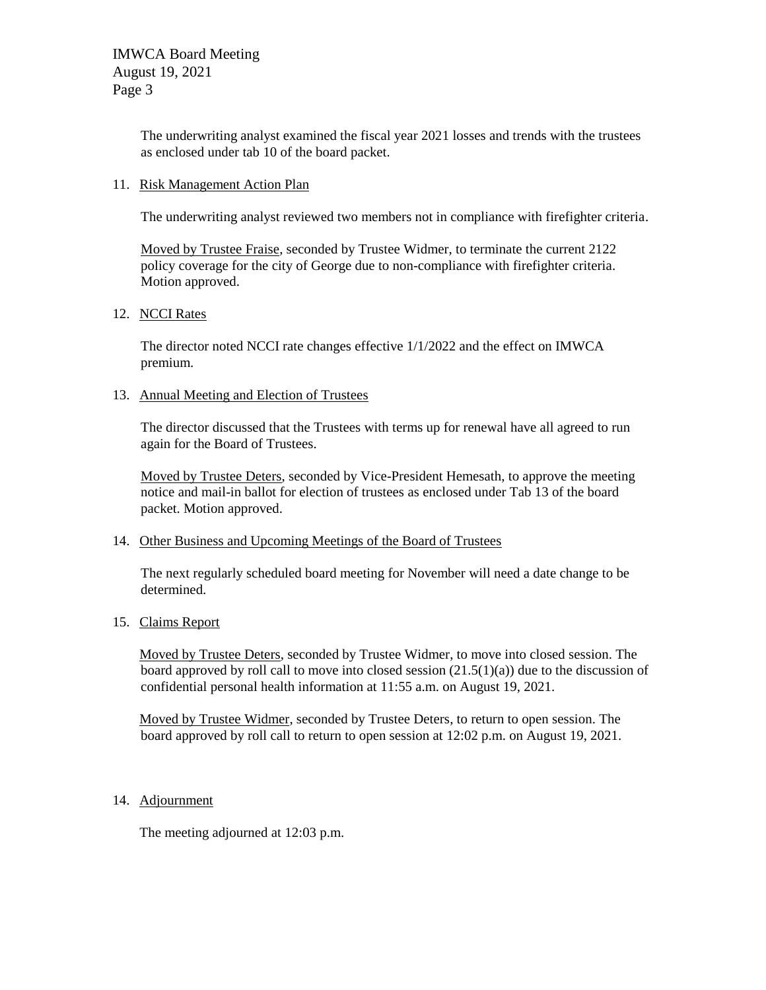The underwriting analyst examined the fiscal year 2021 losses and trends with the trustees as enclosed under tab 10 of the board packet.

### 11. Risk Management Action Plan

The underwriting analyst reviewed two members not in compliance with firefighter criteria.

Moved by Trustee Fraise, seconded by Trustee Widmer, to terminate the current 2122 policy coverage for the city of George due to non-compliance with firefighter criteria. Motion approved.

### 12. NCCI Rates

The director noted NCCI rate changes effective 1/1/2022 and the effect on IMWCA premium.

### 13. Annual Meeting and Election of Trustees

The director discussed that the Trustees with terms up for renewal have all agreed to run again for the Board of Trustees.

Moved by Trustee Deters, seconded by Vice-President Hemesath, to approve the meeting notice and mail-in ballot for election of trustees as enclosed under Tab 13 of the board packet. Motion approved.

#### 14. Other Business and Upcoming Meetings of the Board of Trustees

The next regularly scheduled board meeting for November will need a date change to be determined.

## 15. Claims Report

Moved by Trustee Deters, seconded by Trustee Widmer, to move into closed session. The board approved by roll call to move into closed session  $(21.5(1)(a))$  due to the discussion of confidential personal health information at 11:55 a.m. on August 19, 2021.

Moved by Trustee Widmer, seconded by Trustee Deters, to return to open session. The board approved by roll call to return to open session at 12:02 p.m. on August 19, 2021.

## 14. Adjournment

The meeting adjourned at 12:03 p.m.